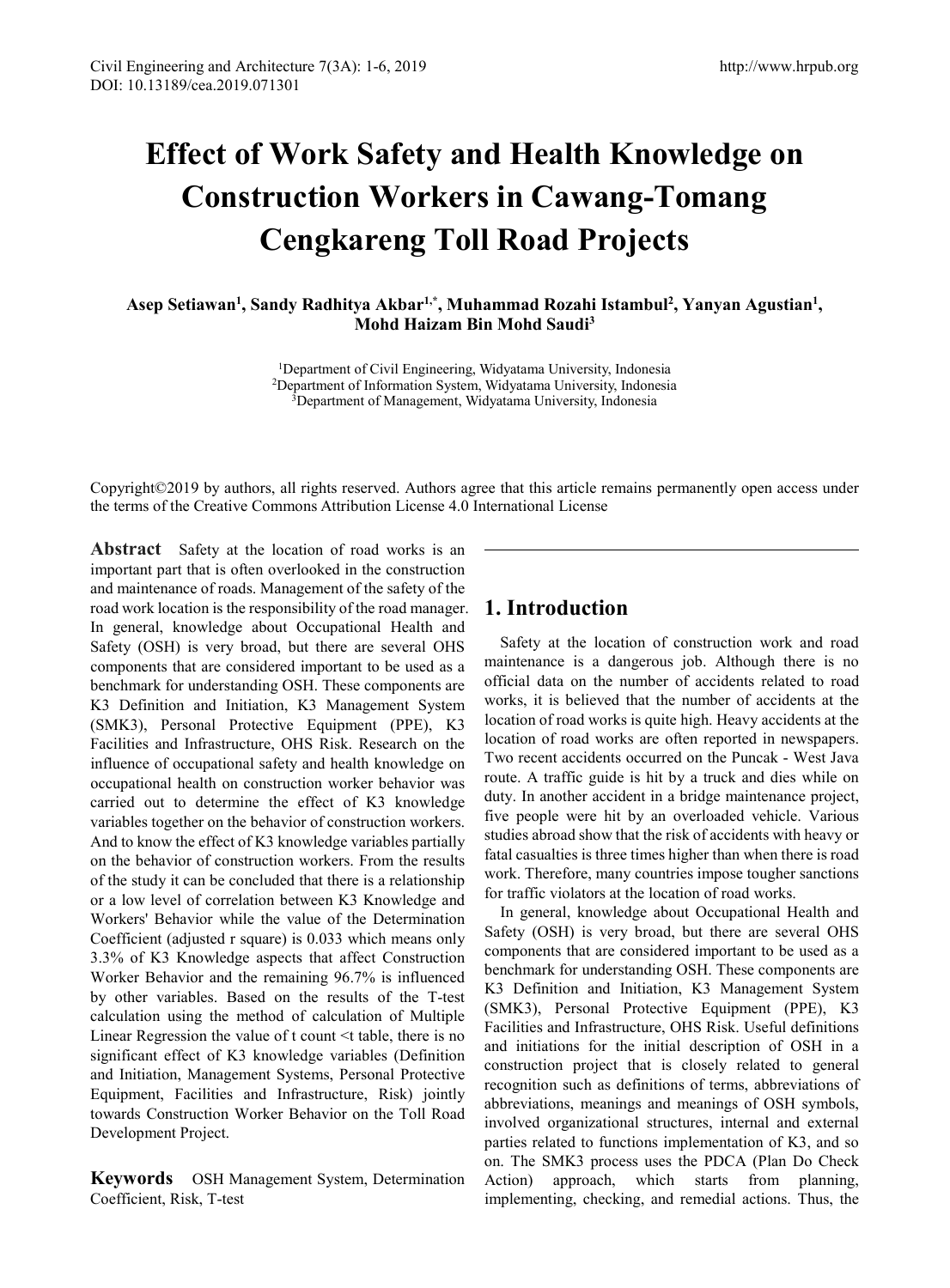# **Effect of Work Safety and Health Knowledge on Construction Workers in Cawang-Tomang Cengkareng Toll Road Projects**

**Asep Setiawan1 , Sandy Radhitya Akbar1,\*, Muhammad Rozahi Istambul 2 , Yanyan Agustian1 , Mohd Haizam Bin Mohd Saudi3**

> 1Department of Civil Engineering, Widyatama University, Indonesia 2Department of Information System, Widyatama University, Indonesia <sup>3</sup>Department of Management, Widyatama University, Indonesia

Copyright©2019 by authors, all rights reserved. Authors agree that this article remains permanently open access under the terms of the Creative Commons Attribution License 4.0 International License

**Abstract** Safety at the location of road works is an important part that is often overlooked in the construction and maintenance of roads. Management of the safety of the road work location is the responsibility of the road manager. In general, knowledge about Occupational Health and Safety (OSH) is very broad, but there are several OHS components that are considered important to be used as a benchmark for understanding OSH. These components are K3 Definition and Initiation, K3 Management System (SMK3), Personal Protective Equipment (PPE), K3 Facilities and Infrastructure, OHS Risk. Research on the influence of occupational safety and health knowledge on occupational health on construction worker behavior was carried out to determine the effect of K3 knowledge variables together on the behavior of construction workers. And to know the effect of K3 knowledge variables partially on the behavior of construction workers. From the results of the study it can be concluded that there is a relationship or a low level of correlation between K3 Knowledge and Workers' Behavior while the value of the Determination Coefficient (adjusted r square) is 0.033 which means only 3.3% of K3 Knowledge aspects that affect Construction Worker Behavior and the remaining 96.7% is influenced by other variables. Based on the results of the T-test calculation using the method of calculation of Multiple Linear Regression the value of t count <t table, there is no significant effect of K3 knowledge variables (Definition and Initiation, Management Systems, Personal Protective Equipment, Facilities and Infrastructure, Risk) jointly towards Construction Worker Behavior on the Toll Road Development Project.

**Keywords** OSH Management System, Determination Coefficient, Risk, T-test

# **1. Introduction**

Safety at the location of construction work and road maintenance is a dangerous job. Although there is no official data on the number of accidents related to road works, it is believed that the number of accidents at the location of road works is quite high. Heavy accidents at the location of road works are often reported in newspapers. Two recent accidents occurred on the Puncak - West Java route. A traffic guide is hit by a truck and dies while on duty. In another accident in a bridge maintenance project, five people were hit by an overloaded vehicle. Various studies abroad show that the risk of accidents with heavy or fatal casualties is three times higher than when there is road work. Therefore, many countries impose tougher sanctions for traffic violators at the location of road works.

In general, knowledge about Occupational Health and Safety (OSH) is very broad, but there are several OHS components that are considered important to be used as a benchmark for understanding OSH. These components are K3 Definition and Initiation, K3 Management System (SMK3), Personal Protective Equipment (PPE), K3 Facilities and Infrastructure, OHS Risk. Useful definitions and initiations for the initial description of OSH in a construction project that is closely related to general recognition such as definitions of terms, abbreviations of abbreviations, meanings and meanings of OSH symbols, involved organizational structures, internal and external parties related to functions implementation of K3, and so on. The SMK3 process uses the PDCA (Plan Do Check Action) approach, which starts from planning, implementing, checking, and remedial actions. Thus, the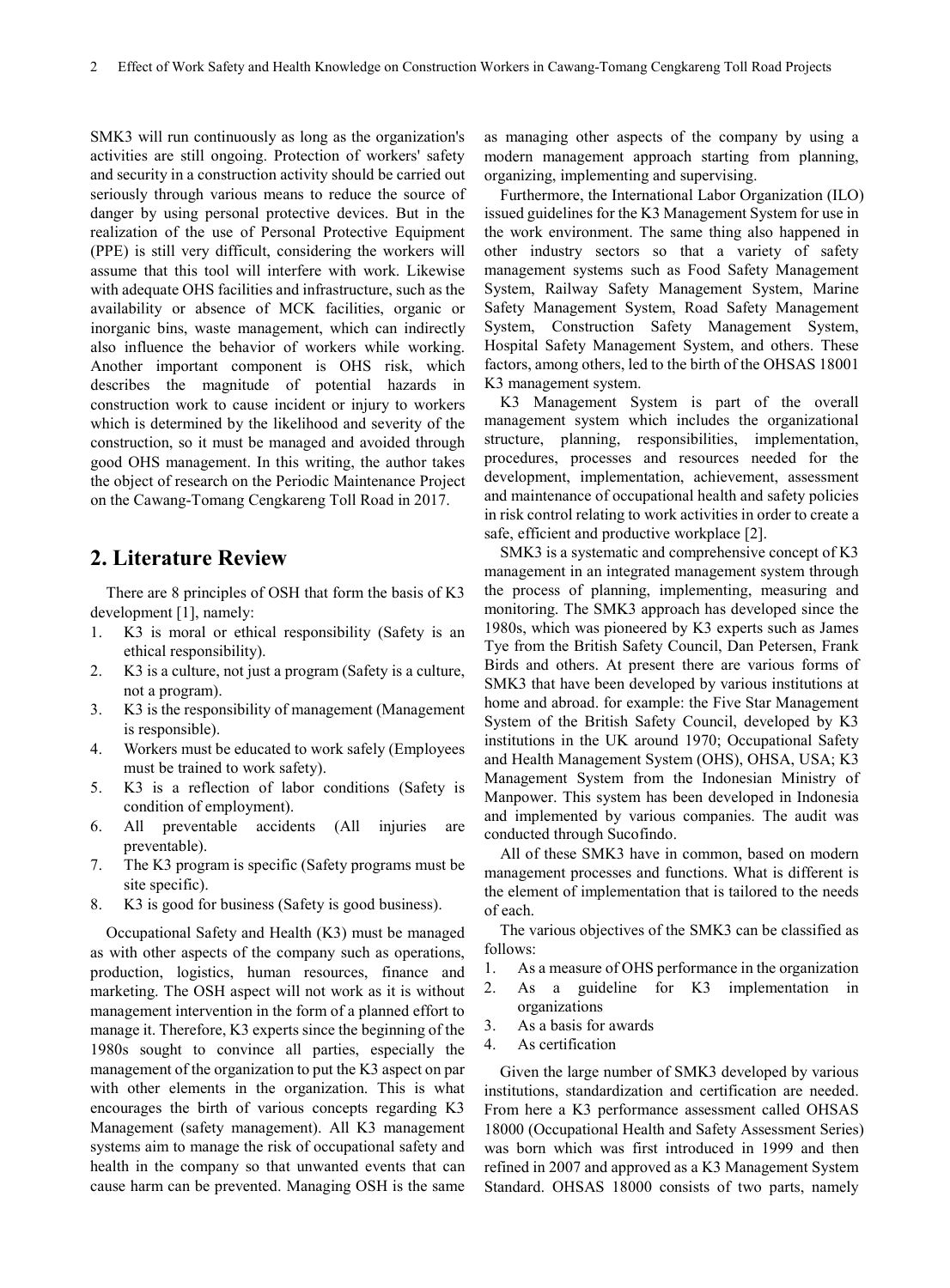SMK3 will run continuously as long as the organization's activities are still ongoing. Protection of workers' safety and security in a construction activity should be carried out seriously through various means to reduce the source of danger by using personal protective devices. But in the realization of the use of Personal Protective Equipment (PPE) is still very difficult, considering the workers will assume that this tool will interfere with work. Likewise with adequate OHS facilities and infrastructure, such as the availability or absence of MCK facilities, organic or inorganic bins, waste management, which can indirectly also influence the behavior of workers while working. Another important component is OHS risk, which describes the magnitude of potential hazards in construction work to cause incident or injury to workers which is determined by the likelihood and severity of the construction, so it must be managed and avoided through good OHS management. In this writing, the author takes the object of research on the Periodic Maintenance Project on the Cawang-Tomang Cengkareng Toll Road in 2017.

## **2. Literature Review**

There are 8 principles of OSH that form the basis of K3 development [1], namely:

- 1. K3 is moral or ethical responsibility (Safety is an ethical responsibility).
- 2. K3 is a culture, not just a program (Safety is a culture, not a program).
- 3. K3 is the responsibility of management (Management is responsible).
- 4. Workers must be educated to work safely (Employees must be trained to work safety).
- 5. K3 is a reflection of labor conditions (Safety is condition of employment).
- 6. All preventable accidents (All injuries are preventable).
- 7. The K3 program is specific (Safety programs must be site specific).
- 8. K3 is good for business (Safety is good business).

Occupational Safety and Health (K3) must be managed as with other aspects of the company such as operations, production, logistics, human resources, finance and marketing. The OSH aspect will not work as it is without management intervention in the form of a planned effort to manage it. Therefore, K3 experts since the beginning of the 1980s sought to convince all parties, especially the management of the organization to put the K3 aspect on par with other elements in the organization. This is what encourages the birth of various concepts regarding K3 Management (safety management). All K3 management systems aim to manage the risk of occupational safety and health in the company so that unwanted events that can cause harm can be prevented. Managing OSH is the same

as managing other aspects of the company by using a modern management approach starting from planning, organizing, implementing and supervising.

Furthermore, the International Labor Organization (ILO) issued guidelines for the K3 Management System for use in the work environment. The same thing also happened in other industry sectors so that a variety of safety management systems such as Food Safety Management System, Railway Safety Management System, Marine Safety Management System, Road Safety Management System, Construction Safety Management System, Hospital Safety Management System, and others. These factors, among others, led to the birth of the OHSAS 18001 K3 management system.

K3 Management System is part of the overall management system which includes the organizational structure, planning, responsibilities, implementation, procedures, processes and resources needed for the development, implementation, achievement, assessment and maintenance of occupational health and safety policies in risk control relating to work activities in order to create a safe, efficient and productive workplace [2].

SMK3 is a systematic and comprehensive concept of K3 management in an integrated management system through the process of planning, implementing, measuring and monitoring. The SMK3 approach has developed since the 1980s, which was pioneered by K3 experts such as James Tye from the British Safety Council, Dan Petersen, Frank Birds and others. At present there are various forms of SMK3 that have been developed by various institutions at home and abroad. for example: the Five Star Management System of the British Safety Council, developed by K3 institutions in the UK around 1970; Occupational Safety and Health Management System (OHS), OHSA, USA; K3 Management System from the Indonesian Ministry of Manpower. This system has been developed in Indonesia and implemented by various companies. The audit was conducted through Sucofindo.

All of these SMK3 have in common, based on modern management processes and functions. What is different is the element of implementation that is tailored to the needs of each.

The various objectives of the SMK3 can be classified as follows:

- 1. As a measure of OHS performance in the organization
- 2. As a guideline for K3 implementation in organizations
- 3. As a basis for awards
- 4. As certification

Given the large number of SMK3 developed by various institutions, standardization and certification are needed. From here a K3 performance assessment called OHSAS 18000 (Occupational Health and Safety Assessment Series) was born which was first introduced in 1999 and then refined in 2007 and approved as a K3 Management System Standard. OHSAS 18000 consists of two parts, namely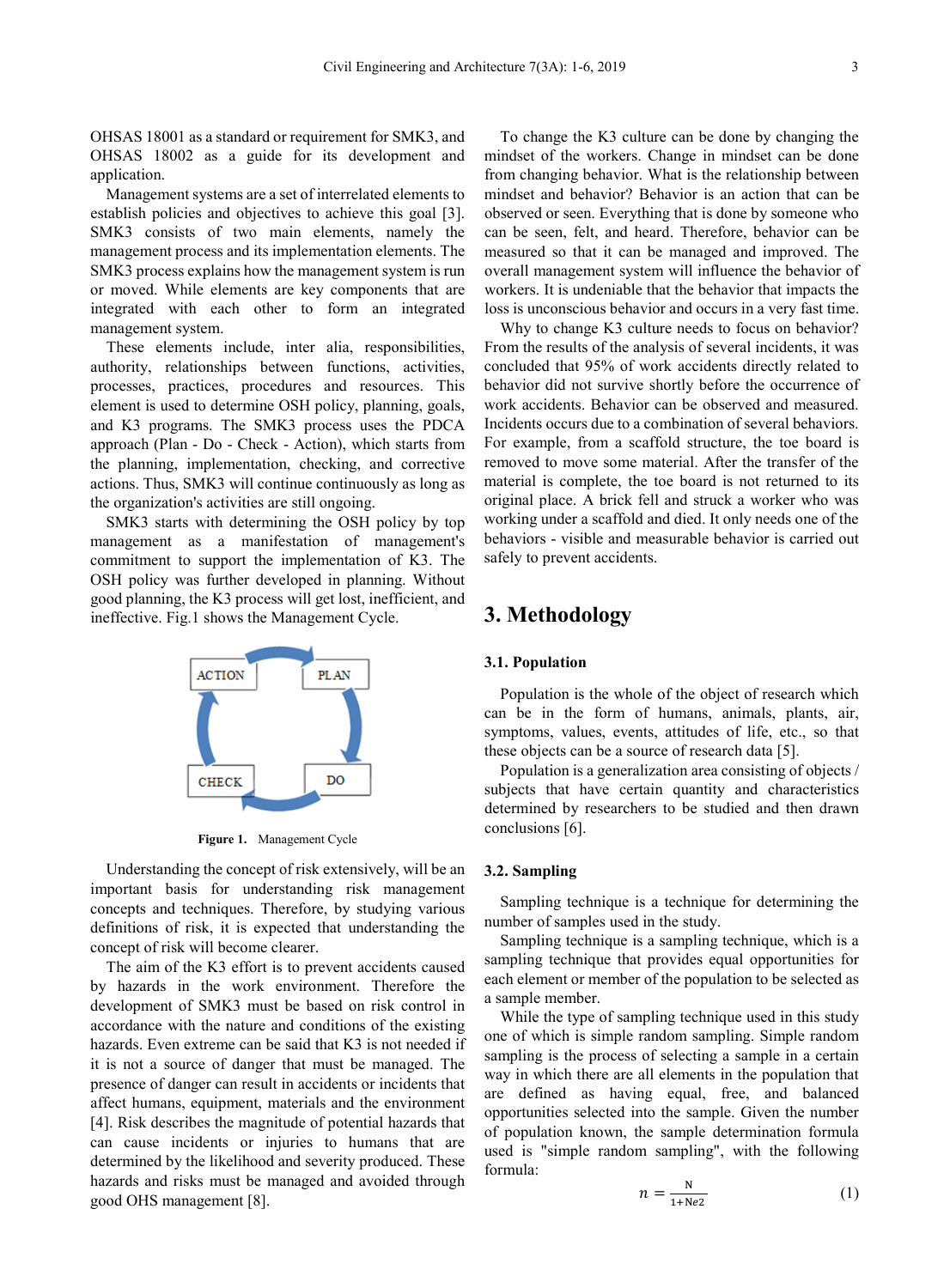OHSAS 18001 as a standard or requirement for SMK3, and OHSAS 18002 as a guide for its development and application.

Management systems are a set of interrelated elements to establish policies and objectives to achieve this goal [3]. SMK3 consists of two main elements, namely the management process and its implementation elements. The SMK3 process explains how the management system is run or moved. While elements are key components that are integrated with each other to form an integrated management system.

These elements include, inter alia, responsibilities, authority, relationships between functions, activities, processes, practices, procedures and resources. This element is used to determine OSH policy, planning, goals, and K3 programs. The SMK3 process uses the PDCA approach (Plan - Do - Check - Action), which starts from the planning, implementation, checking, and corrective actions. Thus, SMK3 will continue continuously as long as the organization's activities are still ongoing.

SMK3 starts with determining the OSH policy by top management as a manifestation of management's commitment to support the implementation of K3. The OSH policy was further developed in planning. Without good planning, the K3 process will get lost, inefficient, and ineffective. Fig.1 shows the Management Cycle.



**Figure 1.** Management Cycle

Understanding the concept of risk extensively, will be an important basis for understanding risk management concepts and techniques. Therefore, by studying various definitions of risk, it is expected that understanding the concept of risk will become clearer.

The aim of the K3 effort is to prevent accidents caused by hazards in the work environment. Therefore the development of SMK3 must be based on risk control in accordance with the nature and conditions of the existing hazards. Even extreme can be said that K3 is not needed if it is not a source of danger that must be managed. The presence of danger can result in accidents or incidents that affect humans, equipment, materials and the environment [4]. Risk describes the magnitude of potential hazards that can cause incidents or injuries to humans that are determined by the likelihood and severity produced. These hazards and risks must be managed and avoided through good OHS management [8].

To change the K3 culture can be done by changing the mindset of the workers. Change in mindset can be done from changing behavior. What is the relationship between mindset and behavior? Behavior is an action that can be observed or seen. Everything that is done by someone who can be seen, felt, and heard. Therefore, behavior can be measured so that it can be managed and improved. The overall management system will influence the behavior of workers. It is undeniable that the behavior that impacts the loss is unconscious behavior and occurs in a very fast time.

Why to change K3 culture needs to focus on behavior? From the results of the analysis of several incidents, it was concluded that 95% of work accidents directly related to behavior did not survive shortly before the occurrence of work accidents. Behavior can be observed and measured. Incidents occurs due to a combination of several behaviors. For example, from a scaffold structure, the toe board is removed to move some material. After the transfer of the material is complete, the toe board is not returned to its original place. A brick fell and struck a worker who was working under a scaffold and died. It only needs one of the behaviors - visible and measurable behavior is carried out safely to prevent accidents.

# **3. Methodology**

#### **3.1. Population**

Population is the whole of the object of research which can be in the form of humans, animals, plants, air, symptoms, values, events, attitudes of life, etc., so that these objects can be a source of research data [5].

Population is a generalization area consisting of objects / subjects that have certain quantity and characteristics determined by researchers to be studied and then drawn conclusions [6].

#### **3.2. Sampling**

Sampling technique is a technique for determining the number of samples used in the study.

Sampling technique is a sampling technique, which is a sampling technique that provides equal opportunities for each element or member of the population to be selected as a sample member.

While the type of sampling technique used in this study one of which is simple random sampling. Simple random sampling is the process of selecting a sample in a certain way in which there are all elements in the population that are defined as having equal, free, and balanced opportunities selected into the sample. Given the number of population known, the sample determination formula used is "simple random sampling", with the following formula:

$$
n = \frac{N}{1 + Ne2} \tag{1}
$$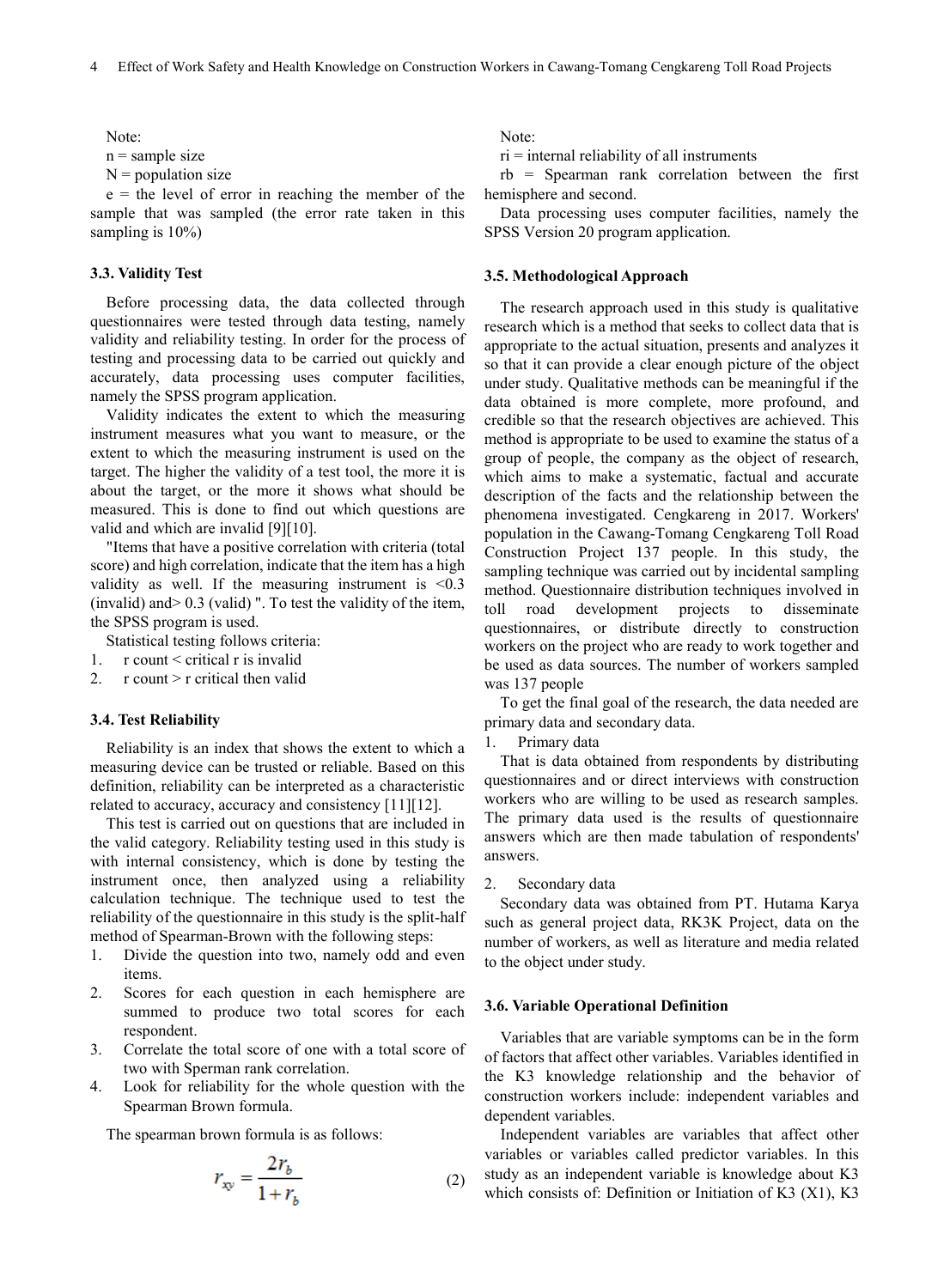Note:

 $n =$ sample size

 $N =$  population size

 $e =$  the level of error in reaching the member of the sample that was sampled (the error rate taken in this sampling is  $10\%$ )

#### **3.3. Validity Test**

Before processing data, the data collected through questionnaires were tested through data testing, namely validity and reliability testing. In order for the process of testing and processing data to be carried out quickly and accurately, data processing uses computer facilities, namely the SPSS program application.

Validity indicates the extent to which the measuring instrument measures what you want to measure, or the extent to which the measuring instrument is used on the target. The higher the validity of a test tool, the more it is about the target, or the more it shows what should be measured. This is done to find out which questions are valid and which are invalid [9][10].

"Items that have a positive correlation with criteria (total score) and high correlation, indicate that the item has a high validity as well. If the measuring instrument is <0.3 (invalid) and> 0.3 (valid) ". To test the validity of the item, the SPSS program is used.

Statistical testing follows criteria:

- 1. r count < critical r is invalid
- 2.  $r$  count  $\ge r$  critical then valid

#### **3.4. Test Reliability**

Reliability is an index that shows the extent to which a measuring device can be trusted or reliable. Based on this definition, reliability can be interpreted as a characteristic related to accuracy, accuracy and consistency [11][12].

This test is carried out on questions that are included in the valid category. Reliability testing used in this study is with internal consistency, which is done by testing the instrument once, then analyzed using a reliability calculation technique. The technique used to test the reliability of the questionnaire in this study is the split-half method of Spearman-Brown with the following steps:

- 1. Divide the question into two, namely odd and even items.
- 2. Scores for each question in each hemisphere are summed to produce two total scores for each respondent.
- 3. Correlate the total score of one with a total score of two with Sperman rank correlation.
- 4. Look for reliability for the whole question with the Spearman Brown formula.

The spearman brown formula is as follows:

$$
r_{xy} = \frac{2r_b}{1+r_b} \tag{2}
$$

Note:

 $ri$  = internal reliability of all instruments

rb = Spearman rank correlation between the first hemisphere and second.

Data processing uses computer facilities, namely the SPSS Version 20 program application.

#### **3.5. Methodological Approach**

The research approach used in this study is qualitative research which is a method that seeks to collect data that is appropriate to the actual situation, presents and analyzes it so that it can provide a clear enough picture of the object under study. Qualitative methods can be meaningful if the data obtained is more complete, more profound, and credible so that the research objectives are achieved. This method is appropriate to be used to examine the status of a group of people, the company as the object of research, which aims to make a systematic, factual and accurate description of the facts and the relationship between the phenomena investigated. Cengkareng in 2017. Workers' population in the Cawang-Tomang Cengkareng Toll Road Construction Project 137 people. In this study, the sampling technique was carried out by incidental sampling method. Questionnaire distribution techniques involved in toll road development projects to disseminate questionnaires, or distribute directly to construction workers on the project who are ready to work together and be used as data sources. The number of workers sampled was 137 people

To get the final goal of the research, the data needed are primary data and secondary data.

Primary data

That is data obtained from respondents by distributing questionnaires and or direct interviews with construction workers who are willing to be used as research samples. The primary data used is the results of questionnaire answers which are then made tabulation of respondents' answers.

2. Secondary data

Secondary data was obtained from PT. Hutama Karya such as general project data, RK3K Project, data on the number of workers, as well as literature and media related to the object under study.

#### **3.6. Variable Operational Definition**

Variables that are variable symptoms can be in the form of factors that affect other variables. Variables identified in the K3 knowledge relationship and the behavior of construction workers include: independent variables and dependent variables.

Independent variables are variables that affect other variables or variables called predictor variables. In this study as an independent variable is knowledge about K3 which consists of: Definition or Initiation of K3 (X1), K3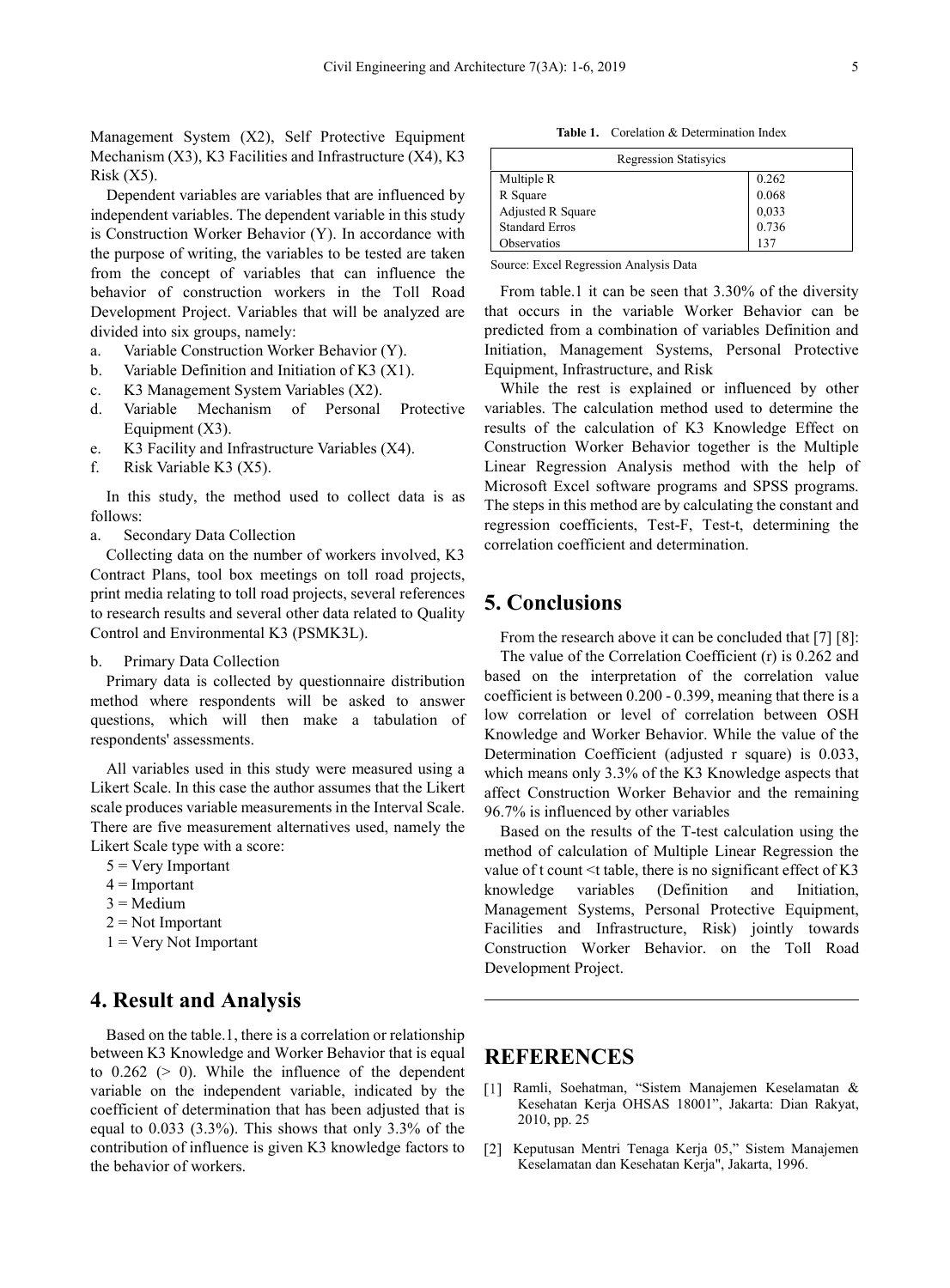Management System (X2), Self Protective Equipment Mechanism  $(X3)$ , K3 Facilities and Infrastructure  $(X4)$ , K3  $Risk (X5)$ .

Dependent variables are variables that are influenced by independent variables. The dependent variable in this study is Construction Worker Behavior (Y). In accordance with the purpose of writing, the variables to be tested are taken from the concept of variables that can influence the behavior of construction workers in the Toll Road Development Project. Variables that will be analyzed are divided into six groups, namely:

- a. Variable Construction Worker Behavior (Y).
- b. Variable Definition and Initiation of K3 (X1).
- c. K3 Management System Variables (X2).
- d. Variable Mechanism of Personal Protective Equipment (X3).
- e. K3 Facility and Infrastructure Variables (X4).
- f. Risk Variable K3 (X5).

In this study, the method used to collect data is as follows:

a. Secondary Data Collection

Collecting data on the number of workers involved, K3 Contract Plans, tool box meetings on toll road projects, print media relating to toll road projects, several references to research results and several other data related to Quality Control and Environmental K3 (PSMK3L).

b. Primary Data Collection

Primary data is collected by questionnaire distribution method where respondents will be asked to answer questions, which will then make a tabulation of respondents' assessments.

All variables used in this study were measured using a Likert Scale. In this case the author assumes that the Likert scale produces variable measurements in the Interval Scale. There are five measurement alternatives used, namely the Likert Scale type with a score:

- $5 = \text{Very Important}$
- $4 =$ Important
- $3 =$ Medium
- $2 = Not$  Important
- $1 = \text{Very Not Important}$

# **4. Result and Analysis**

Based on the table.1, there is a correlation or relationship between K3 Knowledge and Worker Behavior that is equal to  $0.262$  ( $> 0$ ). While the influence of the dependent variable on the independent variable, indicated by the coefficient of determination that has been adjusted that is equal to 0.033 (3.3%). This shows that only 3.3% of the contribution of influence is given K3 knowledge factors to the behavior of workers.

**Table 1.** Corelation & Determination Index

| <b>Regression Statisyics</b> |       |
|------------------------------|-------|
| Multiple R                   | 0.262 |
| R Square                     | 0.068 |
| Adjusted R Square            | 0,033 |
| <b>Standard Erros</b>        | 0.736 |
| Observatios                  | 137   |

Source: Excel Regression Analysis Data

From table.1 it can be seen that 3.30% of the diversity that occurs in the variable Worker Behavior can be predicted from a combination of variables Definition and Initiation, Management Systems, Personal Protective Equipment, Infrastructure, and Risk

While the rest is explained or influenced by other variables. The calculation method used to determine the results of the calculation of K3 Knowledge Effect on Construction Worker Behavior together is the Multiple Linear Regression Analysis method with the help of Microsoft Excel software programs and SPSS programs. The steps in this method are by calculating the constant and regression coefficients, Test-F, Test-t, determining the correlation coefficient and determination.

# **5. Conclusions**

From the research above it can be concluded that [7] [8]: The value of the Correlation Coefficient (r) is 0.262 and based on the interpretation of the correlation value coefficient is between 0.200 - 0.399, meaning that there is a low correlation or level of correlation between OSH Knowledge and Worker Behavior. While the value of the Determination Coefficient (adjusted r square) is 0.033, which means only 3.3% of the K3 Knowledge aspects that affect Construction Worker Behavior and the remaining 96.7% is influenced by other variables

Based on the results of the T-test calculation using the method of calculation of Multiple Linear Regression the value of t count  $\leq t$  table, there is no significant effect of K3 knowledge variables (Definition and Initiation, Management Systems, Personal Protective Equipment, Facilities and Infrastructure, Risk) jointly towards Construction Worker Behavior. on the Toll Road Development Project.

# **REFERENCES**

- [1] Ramli, Soehatman, "Sistem Manajemen Keselamatan & Kesehatan Kerja OHSAS 18001", Jakarta: Dian Rakyat, 2010, pp. 25
- [2] Keputusan Mentri Tenaga Kerja 05," Sistem Manajemen Keselamatan dan Kesehatan Kerja", Jakarta, 1996.